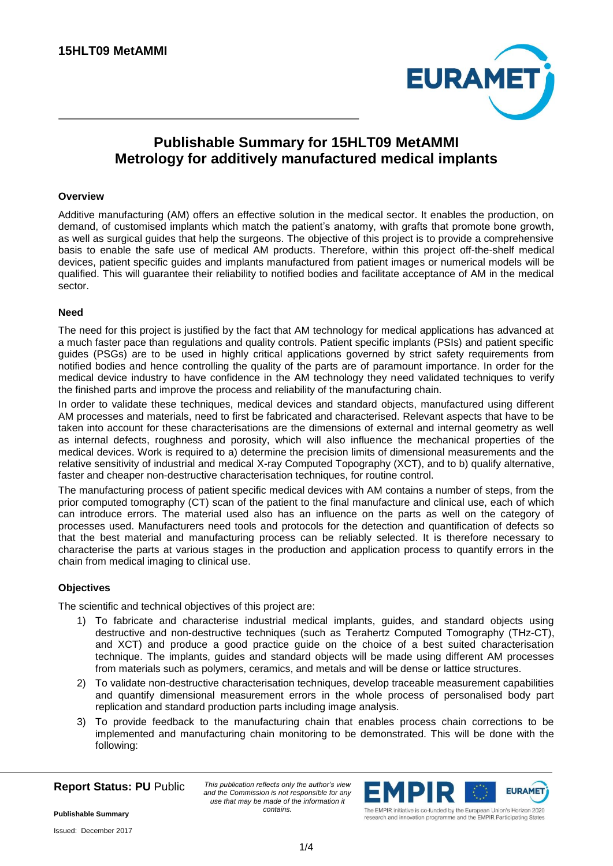

# **Publishable Summary for 15HLT09 MetAMMI Metrology for additively manufactured medical implants**

## **Overview**

Additive manufacturing (AM) offers an effective solution in the medical sector. It enables the production, on demand, of customised implants which match the patient's anatomy, with grafts that promote bone growth, as well as surgical guides that help the surgeons. The objective of this project is to provide a comprehensive basis to enable the safe use of medical AM products. Therefore, within this project off-the-shelf medical devices, patient specific guides and implants manufactured from patient images or numerical models will be qualified. This will guarantee their reliability to notified bodies and facilitate acceptance of AM in the medical sector.

### **Need**

The need for this project is justified by the fact that AM technology for medical applications has advanced at a much faster pace than regulations and quality controls. Patient specific implants (PSIs) and patient specific guides (PSGs) are to be used in highly critical applications governed by strict safety requirements from notified bodies and hence controlling the quality of the parts are of paramount importance. In order for the medical device industry to have confidence in the AM technology they need validated techniques to verify the finished parts and improve the process and reliability of the manufacturing chain.

In order to validate these techniques, medical devices and standard objects, manufactured using different AM processes and materials, need to first be fabricated and characterised. Relevant aspects that have to be taken into account for these characterisations are the dimensions of external and internal geometry as well as internal defects, roughness and porosity, which will also influence the mechanical properties of the medical devices. Work is required to a) determine the precision limits of dimensional measurements and the relative sensitivity of industrial and medical X-ray Computed Topography (XCT), and to b) qualify alternative, faster and cheaper non-destructive characterisation techniques, for routine control.

The manufacturing process of patient specific medical devices with AM contains a number of steps, from the prior computed tomography (CT) scan of the patient to the final manufacture and clinical use, each of which can introduce errors. The material used also has an influence on the parts as well on the category of processes used. Manufacturers need tools and protocols for the detection and quantification of defects so that the best material and manufacturing process can be reliably selected. It is therefore necessary to characterise the parts at various stages in the production and application process to quantify errors in the chain from medical imaging to clinical use.

### **Objectives**

The scientific and technical objectives of this project are:

- 1) To fabricate and characterise industrial medical implants, guides, and standard objects using destructive and non-destructive techniques (such as Terahertz Computed Tomography (THz-CT), and XCT) and produce a good practice guide on the choice of a best suited characterisation technique. The implants, guides and standard objects will be made using different AM processes from materials such as polymers, ceramics, and metals and will be dense or lattice structures.
- 2) To validate non-destructive characterisation techniques, develop traceable measurement capabilities and quantify dimensional measurement errors in the whole process of personalised body part replication and standard production parts including image analysis.
- 3) To provide feedback to the manufacturing chain that enables process chain corrections to be implemented and manufacturing chain monitoring to be demonstrated. This will be done with the following:

**Report Status: PU** Public

*This publication reflects only the author's view and the Commission is not responsible for any use that may be made of the information it contains.*



research and innovation programme and the EMPIR Participating States

**Publishable Summary**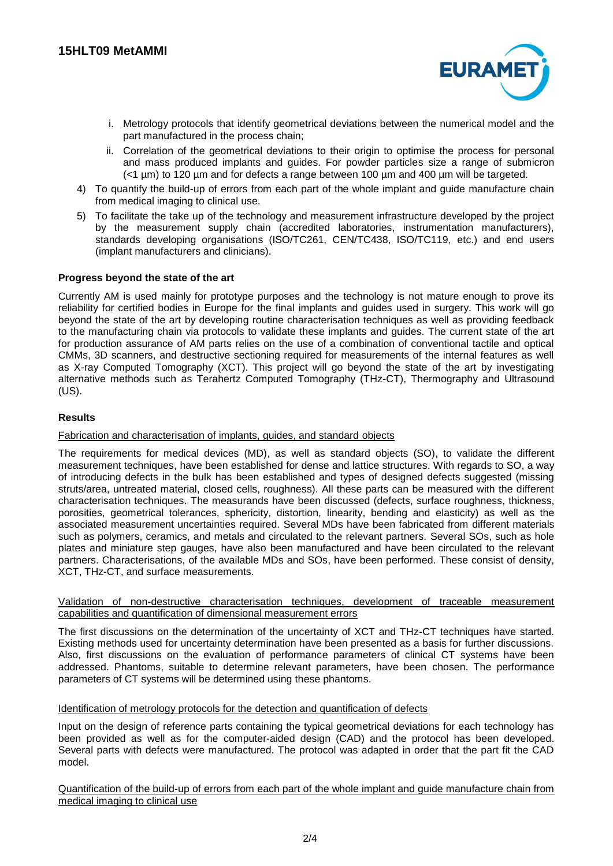

- i. Metrology protocols that identify geometrical deviations between the numerical model and the part manufactured in the process chain;
- ii. Correlation of the geometrical deviations to their origin to optimise the process for personal and mass produced implants and guides. For powder particles size a range of submicron (<1 µm) to 120 µm and for defects a range between 100 µm and 400 µm will be targeted.
- 4) To quantify the build-up of errors from each part of the whole implant and guide manufacture chain from medical imaging to clinical use.
- 5) To facilitate the take up of the technology and measurement infrastructure developed by the project by the measurement supply chain (accredited laboratories, instrumentation manufacturers), standards developing organisations (ISO/TC261, CEN/TC438, ISO/TC119, etc.) and end users (implant manufacturers and clinicians).

## **Progress beyond the state of the art**

Currently AM is used mainly for prototype purposes and the technology is not mature enough to prove its reliability for certified bodies in Europe for the final implants and guides used in surgery. This work will go beyond the state of the art by developing routine characterisation techniques as well as providing feedback to the manufacturing chain via protocols to validate these implants and guides. The current state of the art for production assurance of AM parts relies on the use of a combination of conventional tactile and optical CMMs, 3D scanners, and destructive sectioning required for measurements of the internal features as well as X-ray Computed Tomography (XCT). This project will go beyond the state of the art by investigating alternative methods such as Terahertz Computed Tomography (THz-CT), Thermography and Ultrasound (US).

## **Results**

### Fabrication and characterisation of implants, guides, and standard objects

The requirements for medical devices (MD), as well as standard objects (SO), to validate the different measurement techniques, have been established for dense and lattice structures. With regards to SO, a way of introducing defects in the bulk has been established and types of designed defects suggested (missing struts/area, untreated material, closed cells, roughness). All these parts can be measured with the different characterisation techniques. The measurands have been discussed (defects, surface roughness, thickness, porosities, geometrical tolerances, sphericity, distortion, linearity, bending and elasticity) as well as the associated measurement uncertainties required. Several MDs have been fabricated from different materials such as polymers, ceramics, and metals and circulated to the relevant partners. Several SOs, such as hole plates and miniature step gauges, have also been manufactured and have been circulated to the relevant partners. Characterisations, of the available MDs and SOs, have been performed. These consist of density, XCT, THz-CT, and surface measurements.

### Validation of non-destructive characterisation techniques, development of traceable measurement capabilities and quantification of dimensional measurement errors

The first discussions on the determination of the uncertainty of XCT and THz-CT techniques have started. Existing methods used for uncertainty determination have been presented as a basis for further discussions. Also, first discussions on the evaluation of performance parameters of clinical CT systems have been addressed. Phantoms, suitable to determine relevant parameters, have been chosen. The performance parameters of CT systems will be determined using these phantoms.

### Identification of metrology protocols for the detection and quantification of defects

Input on the design of reference parts containing the typical geometrical deviations for each technology has been provided as well as for the computer-aided design (CAD) and the protocol has been developed. Several parts with defects were manufactured. The protocol was adapted in order that the part fit the CAD model.

Quantification of the build-up of errors from each part of the whole implant and guide manufacture chain from medical imaging to clinical use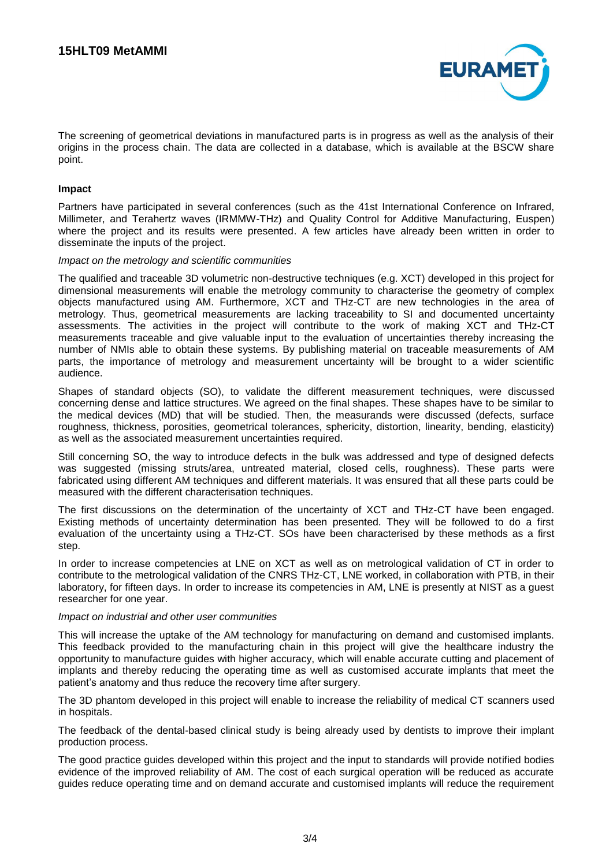

The screening of geometrical deviations in manufactured parts is in progress as well as the analysis of their origins in the process chain. The data are collected in a database, which is available at the BSCW share point.

### **Impact**

Partners have participated in several conferences (such as the 41st International Conference on Infrared, Millimeter, and Terahertz waves (IRMMW-THz) and Quality Control for Additive Manufacturing, Euspen) where the project and its results were presented. A few articles have already been written in order to disseminate the inputs of the project.

#### *Impact on the metrology and scientific communities*

The qualified and traceable 3D volumetric non-destructive techniques (e.g. XCT) developed in this project for dimensional measurements will enable the metrology community to characterise the geometry of complex objects manufactured using AM. Furthermore, XCT and THz-CT are new technologies in the area of metrology. Thus, geometrical measurements are lacking traceability to SI and documented uncertainty assessments. The activities in the project will contribute to the work of making XCT and THz-CT measurements traceable and give valuable input to the evaluation of uncertainties thereby increasing the number of NMIs able to obtain these systems. By publishing material on traceable measurements of AM parts, the importance of metrology and measurement uncertainty will be brought to a wider scientific audience.

Shapes of standard objects (SO), to validate the different measurement techniques, were discussed concerning dense and lattice structures. We agreed on the final shapes. These shapes have to be similar to the medical devices (MD) that will be studied. Then, the measurands were discussed (defects, surface roughness, thickness, porosities, geometrical tolerances, sphericity, distortion, linearity, bending, elasticity) as well as the associated measurement uncertainties required.

Still concerning SO, the way to introduce defects in the bulk was addressed and type of designed defects was suggested (missing struts/area, untreated material, closed cells, roughness). These parts were fabricated using different AM techniques and different materials. It was ensured that all these parts could be measured with the different characterisation techniques.

The first discussions on the determination of the uncertainty of XCT and THz-CT have been engaged. Existing methods of uncertainty determination has been presented. They will be followed to do a first evaluation of the uncertainty using a THz-CT. SOs have been characterised by these methods as a first step.

In order to increase competencies at LNE on XCT as well as on metrological validation of CT in order to contribute to the metrological validation of the CNRS THz-CT, LNE worked, in collaboration with PTB, in their laboratory, for fifteen days. In order to increase its competencies in AM, LNE is presently at NIST as a guest researcher for one year.

### *Impact on industrial and other user communities*

This will increase the uptake of the AM technology for manufacturing on demand and customised implants. This feedback provided to the manufacturing chain in this project will give the healthcare industry the opportunity to manufacture guides with higher accuracy, which will enable accurate cutting and placement of implants and thereby reducing the operating time as well as customised accurate implants that meet the patient's anatomy and thus reduce the recovery time after surgery.

The 3D phantom developed in this project will enable to increase the reliability of medical CT scanners used in hospitals.

The feedback of the dental-based clinical study is being already used by dentists to improve their implant production process.

The good practice guides developed within this project and the input to standards will provide notified bodies evidence of the improved reliability of AM. The cost of each surgical operation will be reduced as accurate guides reduce operating time and on demand accurate and customised implants will reduce the requirement